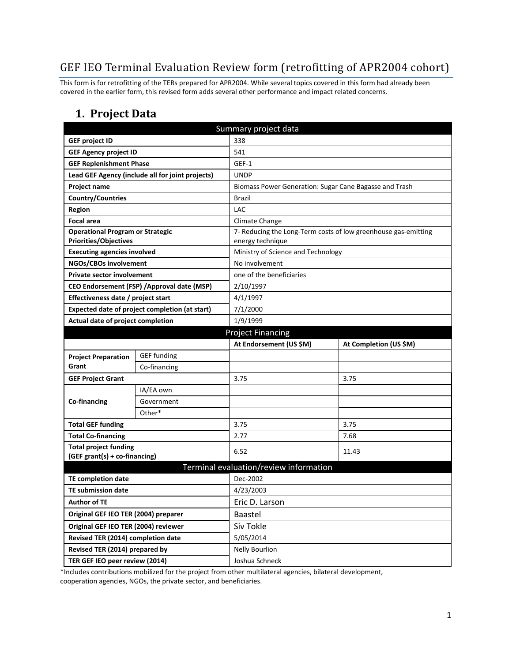# GEF IEO Terminal Evaluation Review form (retrofitting of APR2004 cohort)

This form is for retrofitting of the TERs prepared for APR2004. While several topics covered in this form had already been covered in the earlier form, this revised form adds several other performance and impact related concerns.

### **1. Project Data**

| Summary project data                           |                                                  |                                        |                                                                |  |
|------------------------------------------------|--------------------------------------------------|----------------------------------------|----------------------------------------------------------------|--|
| <b>GEF project ID</b>                          |                                                  | 338                                    |                                                                |  |
| <b>GEF Agency project ID</b>                   |                                                  | 541                                    |                                                                |  |
| <b>GEF Replenishment Phase</b>                 |                                                  | GEF-1                                  |                                                                |  |
|                                                | Lead GEF Agency (include all for joint projects) | <b>UNDP</b>                            |                                                                |  |
| <b>Project name</b>                            |                                                  |                                        | Biomass Power Generation: Sugar Cane Bagasse and Trash         |  |
| <b>Country/Countries</b>                       |                                                  | <b>Brazil</b>                          |                                                                |  |
| <b>Region</b>                                  |                                                  | <b>LAC</b>                             |                                                                |  |
| <b>Focal area</b>                              |                                                  | Climate Change                         |                                                                |  |
| <b>Operational Program or Strategic</b>        |                                                  |                                        | 7- Reducing the Long-Term costs of low greenhouse gas-emitting |  |
| <b>Priorities/Objectives</b>                   |                                                  |                                        | energy technique                                               |  |
| <b>Executing agencies involved</b>             |                                                  |                                        | Ministry of Science and Technology                             |  |
| NGOs/CBOs involvement                          |                                                  |                                        | No involvement                                                 |  |
| <b>Private sector involvement</b>              |                                                  |                                        | one of the beneficiaries                                       |  |
|                                                | CEO Endorsement (FSP) / Approval date (MSP)      |                                        | 2/10/1997                                                      |  |
| Effectiveness date / project start             |                                                  |                                        | 4/1/1997                                                       |  |
| Expected date of project completion (at start) |                                                  |                                        | 7/1/2000                                                       |  |
| Actual date of project completion              |                                                  | 1/9/1999                               |                                                                |  |
|                                                | <b>Project Financing</b>                         |                                        |                                                                |  |
|                                                |                                                  | At Endorsement (US \$M)                | At Completion (US \$M)                                         |  |
| <b>Project Preparation</b>                     | <b>GEF</b> funding                               |                                        |                                                                |  |
| Grant                                          | Co-financing                                     |                                        |                                                                |  |
| <b>GEF Project Grant</b>                       |                                                  | 3.75                                   | 3.75                                                           |  |
|                                                | IA/EA own                                        |                                        |                                                                |  |
| Co-financing                                   | Government                                       |                                        |                                                                |  |
|                                                | Other*                                           |                                        |                                                                |  |
| <b>Total GEF funding</b>                       |                                                  | 3.75                                   | 3.75                                                           |  |
| <b>Total Co-financing</b>                      |                                                  | 2.77                                   | 7.68                                                           |  |
| <b>Total project funding</b>                   |                                                  | 6.52                                   | 11.43                                                          |  |
| (GEF grant(s) + co-financing)                  |                                                  |                                        |                                                                |  |
|                                                |                                                  | Terminal evaluation/review information |                                                                |  |
| <b>TE completion date</b>                      |                                                  | Dec-2002                               |                                                                |  |
| <b>TE submission date</b>                      |                                                  | 4/23/2003                              |                                                                |  |
| Author of TE                                   |                                                  | Eric D. Larson                         |                                                                |  |
| Original GEF IEO TER (2004) preparer           |                                                  | Baastel                                |                                                                |  |
| Original GEF IEO TER (2004) reviewer           |                                                  | Siv Tokle                              |                                                                |  |
| Revised TER (2014) completion date             |                                                  | 5/05/2014                              |                                                                |  |
| Revised TER (2014) prepared by                 |                                                  | <b>Nelly Bourlion</b>                  |                                                                |  |
| TER GEF IEO peer review (2014)                 |                                                  | Joshua Schneck                         |                                                                |  |

\*Includes contributions mobilized for the project from other multilateral agencies, bilateral development, cooperation agencies, NGOs, the private sector, and beneficiaries.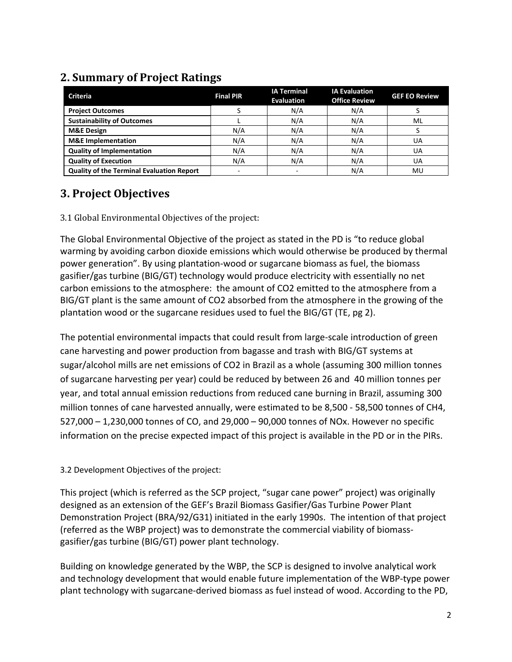#### **Criteria Final PIR IA Terminal Evaluation IA Evaluation Office Review GEF EO Review Project Outcomes** Service Controller Service Service Service Service Service Service Service Service Service Service Service Service Service Service Service Service Service Service Service Service Service Service Service **Sustainability of Outcomes**  $\begin{array}{|c|c|c|c|c|c|c|c|} \hline \end{array}$  L  $\begin{array}{|c|c|c|c|c|c|c|c|c|} \hline \end{array}$  L  $\begin{array}{|c|c|c|c|c|c|c|c|c|} \hline \end{array}$  N/A  $\begin{array}{|c|c|c|c|c|c|c|c|c|} \hline \end{array}$  N/A  $\begin{array}{|c|c|c|c|c|c|c|c|c|} \hline \end{array}$  NL **M&E Design** N/A N/A N/A S **M&E Implementation**  $N/A$  N/A N/A N/A UA **Quality of Implementation**  $N/A$  N/A N/A N/A N/A UA **Quality of Execution N/A** N/A N/A N/A N/A N/A UA **Quality of the Terminal Evaluation Report** | The Community of the Terminal Evaluation Report

# **2. Summary of Project Ratings**

# **3. Project Objectives**

3.1 Global Environmental Objectives of the project:

The Global Environmental Objective of the project as stated in the PD is "to reduce global warming by avoiding carbon dioxide emissions which would otherwise be produced by thermal power generation". By using plantation-wood or sugarcane biomass as fuel, the biomass gasifier/gas turbine (BIG/GT) technology would produce electricity with essentially no net carbon emissions to the atmosphere: the amount of CO2 emitted to the atmosphere from a BIG/GT plant is the same amount of CO2 absorbed from the atmosphere in the growing of the plantation wood or the sugarcane residues used to fuel the BIG/GT (TE, pg 2).

The potential environmental impacts that could result from large-scale introduction of green cane harvesting and power production from bagasse and trash with BIG/GT systems at sugar/alcohol mills are net emissions of CO2 in Brazil as a whole (assuming 300 million tonnes of sugarcane harvesting per year) could be reduced by between 26 and 40 million tonnes per year, and total annual emission reductions from reduced cane burning in Brazil, assuming 300 million tonnes of cane harvested annually, were estimated to be 8,500 - 58,500 tonnes of CH4, 527,000 – 1,230,000 tonnes of CO, and 29,000 – 90,000 tonnes of NOx. However no specific information on the precise expected impact of this project is available in the PD or in the PIRs.

### 3.2 Development Objectives of the project:

This project (which is referred as the SCP project, "sugar cane power" project) was originally designed as an extension of the GEF's Brazil Biomass Gasifier/Gas Turbine Power Plant Demonstration Project (BRA/92/G31) initiated in the early 1990s. The intention of that project (referred as the WBP project) was to demonstrate the commercial viability of biomassgasifier/gas turbine (BIG/GT) power plant technology.

Building on knowledge generated by the WBP, the SCP is designed to involve analytical work and technology development that would enable future implementation of the WBP-type power plant technology with sugarcane-derived biomass as fuel instead of wood. According to the PD,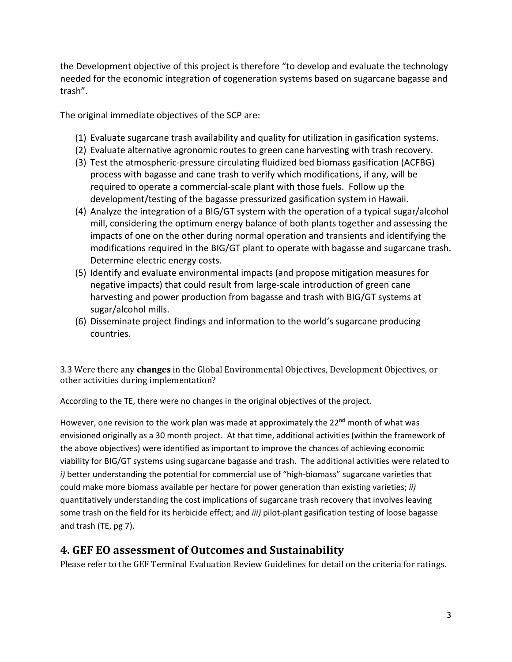the Development objective of this project is therefore "to develop and evaluate the technology needed for the economic integration of cogeneration systems based on sugarcane bagasse and trash".

The original immediate objectives of the SCP are:

- (1) Evaluate sugarcane trash availability and quality for utilization in gasification systems.
- (2) Evaluate alternative agronomic routes to green cane harvesting with trash recovery.
- (3) Test the atmospheric-pressure circulating fluidized bed biomass gasification (ACFBG) process with bagasse and cane trash to verify which modifications, if any, will be required to operate a commercial-scale plant with those fuels. Follow up the development/testing of the bagasse pressurized gasification system in Hawaii.
- (4) Analyze the integration of a BIG/GT system with the operation of a typical sugar/alcohol mill, considering the optimum energy balance of both plants together and assessing the impacts of one on the other during normal operation and transients and identifying the modifications required in the BIG/GT plant to operate with bagasse and sugarcane trash. Determine electric energy costs.
- (5) Identify and evaluate environmental impacts (and propose mitigation measures for negative impacts) that could result from large-scale introduction of green cane harvesting and power production from bagasse and trash with BIG/GT systems at sugar/alcohol mills.
- (6) Disseminate project findings and information to the world's sugarcane producing countries.

3.3 Were there any **changes** in the Global Environmental Objectives, Development Objectives, or other activities during implementation?

According to the TE, there were no changes in the original objectives of the project.

However, one revision to the work plan was made at approximately the 22<sup>nd</sup> month of what was envisioned originally as a 30 month project. At that time, additional activities (within the framework of the above objectives) were identified as important to improve the chances of achieving economic viability for BIG/GT systems using sugarcane bagasse and trash. The additional activities were related to *i)* better understanding the potential for commercial use of "high-biomass" sugarcane varieties that could make more biomass available per hectare for power generation than existing varieties; *ii)* quantitatively understanding the cost implications of sugarcane trash recovery that involves leaving some trash on the field for its herbicide effect; and *iii)* pilot-plant gasification testing of loose bagasse and trash (TE, pg 7).

## **4. GEF EO assessment of Outcomes and Sustainability**

Please refer to the GEF Terminal Evaluation Review Guidelines for detail on the criteria for ratings.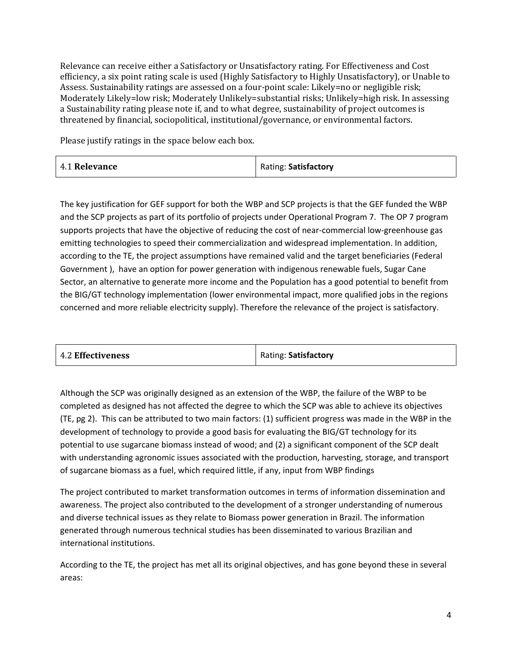Relevance can receive either a Satisfactory or Unsatisfactory rating. For Effectiveness and Cost efficiency, a six point rating scale is used (Highly Satisfactory to Highly Unsatisfactory), or Unable to Assess. Sustainability ratings are assessed on a four-point scale: Likely=no or negligible risk; Moderately Likely=low risk; Moderately Unlikely=substantial risks; Unlikely=high risk. In assessing a Sustainability rating please note if, and to what degree, sustainability of project outcomes is threatened by financial, sociopolitical, institutional/governance, or environmental factors.

Please justify ratings in the space below each box.

| <b>4.1 Relevance</b> | Rating: Satisfactory |
|----------------------|----------------------|
|----------------------|----------------------|

The key justification for GEF support for both the WBP and SCP projects is that the GEF funded the WBP and the SCP projects as part of its portfolio of projects under Operational Program 7. The OP 7 program supports projects that have the objective of reducing the cost of near-commercial low-greenhouse gas emitting technologies to speed their commercialization and widespread implementation. In addition, according to the TE, the project assumptions have remained valid and the target beneficiaries (Federal Government ), have an option for power generation with indigenous renewable fuels, Sugar Cane Sector, an alternative to generate more income and the Population has a good potential to benefit from the BIG/GT technology implementation (lower environmental impact, more qualified jobs in the regions concerned and more reliable electricity supply). Therefore the relevance of the project is satisfactory.

| 4.2 Effectiveness | Rating: Satisfactory |
|-------------------|----------------------|
|-------------------|----------------------|

Although the SCP was originally designed as an extension of the WBP, the failure of the WBP to be completed as designed has not affected the degree to which the SCP was able to achieve its objectives (TE, pg 2). This can be attributed to two main factors: (1) sufficient progress was made in the WBP in the development of technology to provide a good basis for evaluating the BIG/GT technology for its potential to use sugarcane biomass instead of wood; and (2) a significant component of the SCP dealt with understanding agronomic issues associated with the production, harvesting, storage, and transport of sugarcane biomass as a fuel, which required little, if any, input from WBP findings

The project contributed to market transformation outcomes in terms of information dissemination and awareness. The project also contributed to the development of a stronger understanding of numerous and diverse technical issues as they relate to Biomass power generation in Brazil. The information generated through numerous technical studies has been disseminated to various Brazilian and international institutions.

According to the TE, the project has met all its original objectives, and has gone beyond these in several areas: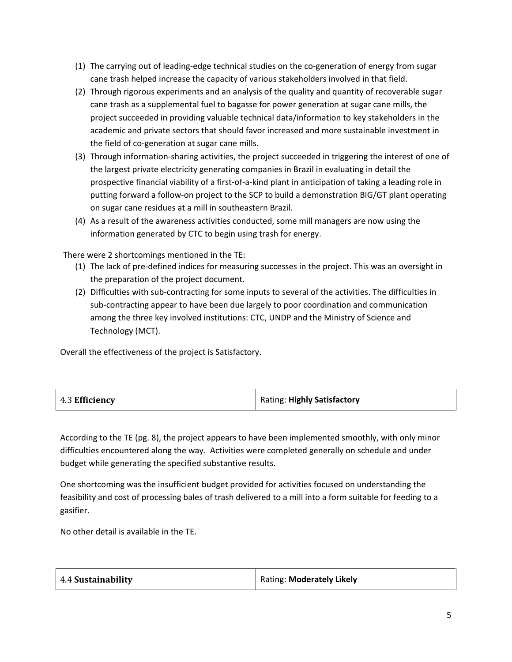- (1) The carrying out of leading-edge technical studies on the co-generation of energy from sugar cane trash helped increase the capacity of various stakeholders involved in that field.
- (2) Through rigorous experiments and an analysis of the quality and quantity of recoverable sugar cane trash as a supplemental fuel to bagasse for power generation at sugar cane mills, the project succeeded in providing valuable technical data/information to key stakeholders in the academic and private sectors that should favor increased and more sustainable investment in the field of co-generation at sugar cane mills.
- (3) Through information-sharing activities, the project succeeded in triggering the interest of one of the largest private electricity generating companies in Brazil in evaluating in detail the prospective financial viability of a first-of-a-kind plant in anticipation of taking a leading role in putting forward a follow-on project to the SCP to build a demonstration BIG/GT plant operating on sugar cane residues at a mill in southeastern Brazil.
- (4) As a result of the awareness activities conducted, some mill managers are now using the information generated by CTC to begin using trash for energy.

There were 2 shortcomings mentioned in the TE:

- (1) The lack of pre-defined indices for measuring successes in the project. This was an oversight in the preparation of the project document.
- (2) Difficulties with sub-contracting for some inputs to several of the activities. The difficulties in sub-contracting appear to have been due largely to poor coordination and communication among the three key involved institutions: CTC, UNDP and the Ministry of Science and Technology (MCT).

Overall the effectiveness of the project is Satisfactory.

| 4.3 Efficiency | Rating: Highly Satisfactory |
|----------------|-----------------------------|
|----------------|-----------------------------|

According to the TE (pg. 8), the project appears to have been implemented smoothly, with only minor difficulties encountered along the way. Activities were completed generally on schedule and under budget while generating the specified substantive results.

One shortcoming was the insufficient budget provided for activities focused on understanding the feasibility and cost of processing bales of trash delivered to a mill into a form suitable for feeding to a gasifier.

No other detail is available in the TE.

| Rating: Moderately Likely |
|---------------------------|
|                           |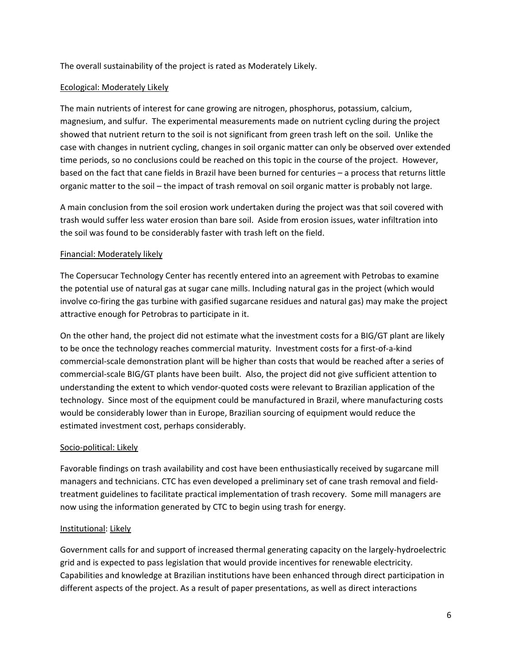The overall sustainability of the project is rated as Moderately Likely.

#### Ecological: Moderately Likely

The main nutrients of interest for cane growing are nitrogen, phosphorus, potassium, calcium, magnesium, and sulfur. The experimental measurements made on nutrient cycling during the project showed that nutrient return to the soil is not significant from green trash left on the soil. Unlike the case with changes in nutrient cycling, changes in soil organic matter can only be observed over extended time periods, so no conclusions could be reached on this topic in the course of the project. However, based on the fact that cane fields in Brazil have been burned for centuries – a process that returns little organic matter to the soil – the impact of trash removal on soil organic matter is probably not large.

A main conclusion from the soil erosion work undertaken during the project was that soil covered with trash would suffer less water erosion than bare soil. Aside from erosion issues, water infiltration into the soil was found to be considerably faster with trash left on the field.

#### Financial: Moderately likely

The Copersucar Technology Center has recently entered into an agreement with Petrobas to examine the potential use of natural gas at sugar cane mills. Including natural gas in the project (which would involve co-firing the gas turbine with gasified sugarcane residues and natural gas) may make the project attractive enough for Petrobras to participate in it.

On the other hand, the project did not estimate what the investment costs for a BIG/GT plant are likely to be once the technology reaches commercial maturity. Investment costs for a first-of-a-kind commercial-scale demonstration plant will be higher than costs that would be reached after a series of commercial-scale BIG/GT plants have been built. Also, the project did not give sufficient attention to understanding the extent to which vendor-quoted costs were relevant to Brazilian application of the technology. Since most of the equipment could be manufactured in Brazil, where manufacturing costs would be considerably lower than in Europe, Brazilian sourcing of equipment would reduce the estimated investment cost, perhaps considerably.

#### Socio-political: Likely

Favorable findings on trash availability and cost have been enthusiastically received by sugarcane mill managers and technicians. CTC has even developed a preliminary set of cane trash removal and fieldtreatment guidelines to facilitate practical implementation of trash recovery. Some mill managers are now using the information generated by CTC to begin using trash for energy.

#### Institutional: Likely

Government calls for and support of increased thermal generating capacity on the largely-hydroelectric grid and is expected to pass legislation that would provide incentives for renewable electricity. Capabilities and knowledge at Brazilian institutions have been enhanced through direct participation in different aspects of the project. As a result of paper presentations, as well as direct interactions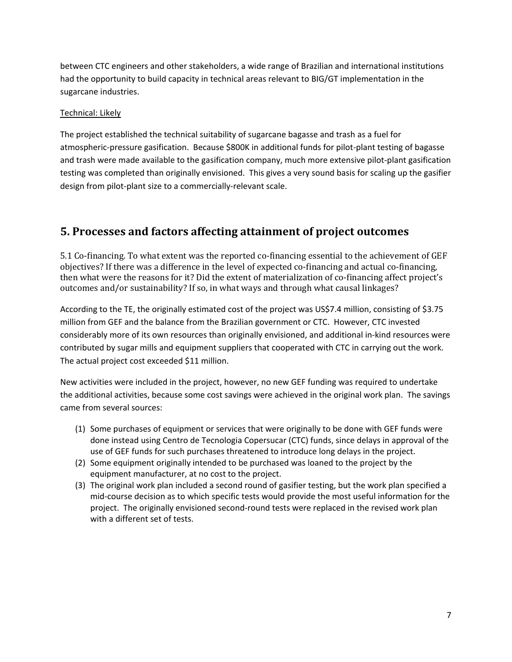between CTC engineers and other stakeholders, a wide range of Brazilian and international institutions had the opportunity to build capacity in technical areas relevant to BIG/GT implementation in the sugarcane industries.

#### Technical: Likely

The project established the technical suitability of sugarcane bagasse and trash as a fuel for atmospheric-pressure gasification. Because \$800K in additional funds for pilot-plant testing of bagasse and trash were made available to the gasification company, much more extensive pilot-plant gasification testing was completed than originally envisioned. This gives a very sound basis for scaling up the gasifier design from pilot-plant size to a commercially-relevant scale.

### **5. Processes and factors affecting attainment of project outcomes**

5.1 Co-financing. To what extent was the reported co-financing essential to the achievement of GEF objectives? If there was a difference in the level of expected co-financing and actual co-financing, then what were the reasons for it? Did the extent of materialization of co-financing affect project's outcomes and/or sustainability? If so, in what ways and through what causal linkages?

According to the TE, the originally estimated cost of the project was US\$7.4 million, consisting of \$3.75 million from GEF and the balance from the Brazilian government or CTC. However, CTC invested considerably more of its own resources than originally envisioned, and additional in-kind resources were contributed by sugar mills and equipment suppliers that cooperated with CTC in carrying out the work. The actual project cost exceeded \$11 million.

New activities were included in the project, however, no new GEF funding was required to undertake the additional activities, because some cost savings were achieved in the original work plan. The savings came from several sources:

- (1) Some purchases of equipment or services that were originally to be done with GEF funds were done instead using Centro de Tecnologia Copersucar (CTC) funds, since delays in approval of the use of GEF funds for such purchases threatened to introduce long delays in the project.
- (2) Some equipment originally intended to be purchased was loaned to the project by the equipment manufacturer, at no cost to the project.
- (3) The original work plan included a second round of gasifier testing, but the work plan specified a mid-course decision as to which specific tests would provide the most useful information for the project. The originally envisioned second-round tests were replaced in the revised work plan with a different set of tests.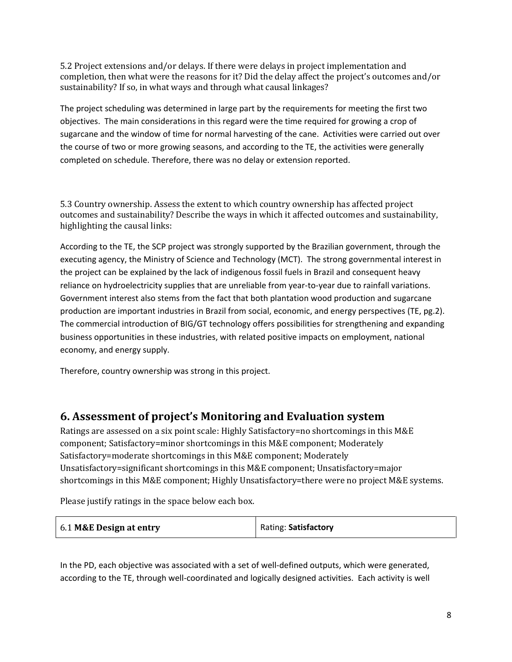5.2 Project extensions and/or delays. If there were delays in project implementation and completion, then what were the reasons for it? Did the delay affect the project's outcomes and/or sustainability? If so, in what ways and through what causal linkages?

The project scheduling was determined in large part by the requirements for meeting the first two objectives. The main considerations in this regard were the time required for growing a crop of sugarcane and the window of time for normal harvesting of the cane. Activities were carried out over the course of two or more growing seasons, and according to the TE, the activities were generally completed on schedule. Therefore, there was no delay or extension reported.

5.3 Country ownership. Assess the extent to which country ownership has affected project outcomes and sustainability? Describe the ways in which it affected outcomes and sustainability, highlighting the causal links:

According to the TE, the SCP project was strongly supported by the Brazilian government, through the executing agency, the Ministry of Science and Technology (MCT). The strong governmental interest in the project can be explained by the lack of indigenous fossil fuels in Brazil and consequent heavy reliance on hydroelectricity supplies that are unreliable from year-to-year due to rainfall variations. Government interest also stems from the fact that both plantation wood production and sugarcane production are important industries in Brazil from social, economic, and energy perspectives (TE, pg.2). The commercial introduction of BIG/GT technology offers possibilities for strengthening and expanding business opportunities in these industries, with related positive impacts on employment, national economy, and energy supply.

Therefore, country ownership was strong in this project.

### **6. Assessment of project's Monitoring and Evaluation system**

Ratings are assessed on a six point scale: Highly Satisfactory=no shortcomings in this M&E component; Satisfactory=minor shortcomings in this M&E component; Moderately Satisfactory=moderate shortcomings in this M&E component; Moderately Unsatisfactory=significant shortcomings in this M&E component; Unsatisfactory=major shortcomings in this M&E component; Highly Unsatisfactory=there were no project M&E systems.

Please justify ratings in the space below each box.

| 6.1 M&E Design at entry | Rating: Satisfactory |
|-------------------------|----------------------|
|                         |                      |

In the PD, each objective was associated with a set of well-defined outputs, which were generated, according to the TE, through well-coordinated and logically designed activities. Each activity is well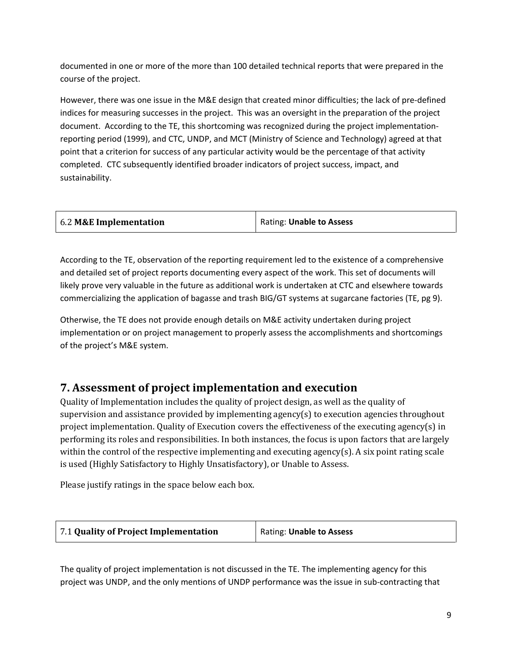documented in one or more of the more than 100 detailed technical reports that were prepared in the course of the project.

However, there was one issue in the M&E design that created minor difficulties; the lack of pre-defined indices for measuring successes in the project. This was an oversight in the preparation of the project document. According to the TE, this shortcoming was recognized during the project implementationreporting period (1999), and CTC, UNDP, and MCT (Ministry of Science and Technology) agreed at that point that a criterion for success of any particular activity would be the percentage of that activity completed. CTC subsequently identified broader indicators of project success, impact, and sustainability.

| 6.2 M&E Implementation | Rating: Unable to Assess |
|------------------------|--------------------------|
|------------------------|--------------------------|

According to the TE, observation of the reporting requirement led to the existence of a comprehensive and detailed set of project reports documenting every aspect of the work. This set of documents will likely prove very valuable in the future as additional work is undertaken at CTC and elsewhere towards commercializing the application of bagasse and trash BIG/GT systems at sugarcane factories (TE, pg 9).

Otherwise, the TE does not provide enough details on M&E activity undertaken during project implementation or on project management to properly assess the accomplishments and shortcomings of the project's M&E system.

## **7. Assessment of project implementation and execution**

Quality of Implementation includes the quality of project design, as well as the quality of supervision and assistance provided by implementing agency(s) to execution agencies throughout project implementation. Quality of Execution covers the effectiveness of the executing agency(s) in performing its roles and responsibilities. In both instances, the focus is upon factors that are largely within the control of the respective implementing and executing agency(s). A six point rating scale is used (Highly Satisfactory to Highly Unsatisfactory), or Unable to Assess.

Please justify ratings in the space below each box.

| Rating: Unable to Assess |
|--------------------------|
|                          |

The quality of project implementation is not discussed in the TE. The implementing agency for this project was UNDP, and the only mentions of UNDP performance was the issue in sub-contracting that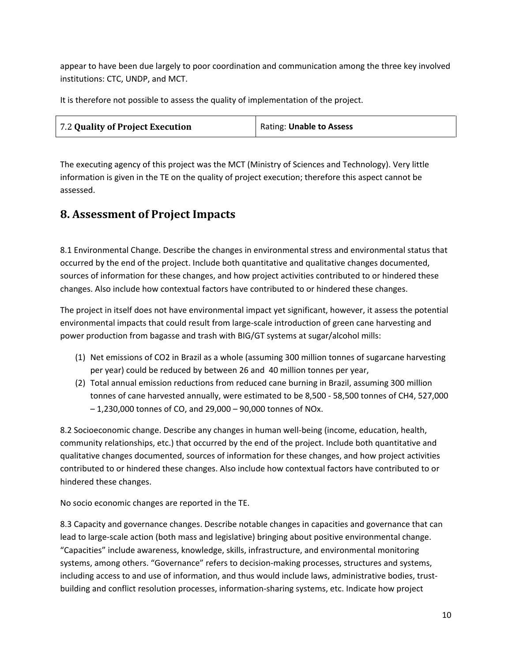appear to have been due largely to poor coordination and communication among the three key involved institutions: CTC, UNDP, and MCT.

It is therefore not possible to assess the quality of implementation of the project.

| 7.2 Quality of Project Execution | Rating: Unable to Assess |
|----------------------------------|--------------------------|
|                                  |                          |

The executing agency of this project was the MCT (Ministry of Sciences and Technology). Very little information is given in the TE on the quality of project execution; therefore this aspect cannot be assessed.

## **8. Assessment of Project Impacts**

8.1 Environmental Change. Describe the changes in environmental stress and environmental status that occurred by the end of the project. Include both quantitative and qualitative changes documented, sources of information for these changes, and how project activities contributed to or hindered these changes. Also include how contextual factors have contributed to or hindered these changes.

The project in itself does not have environmental impact yet significant, however, it assess the potential environmental impacts that could result from large-scale introduction of green cane harvesting and power production from bagasse and trash with BIG/GT systems at sugar/alcohol mills:

- (1) Net emissions of CO2 in Brazil as a whole (assuming 300 million tonnes of sugarcane harvesting per year) could be reduced by between 26 and 40 million tonnes per year,
- (2) Total annual emission reductions from reduced cane burning in Brazil, assuming 300 million tonnes of cane harvested annually, were estimated to be 8,500 - 58,500 tonnes of CH4, 527,000 – 1,230,000 tonnes of CO, and 29,000 – 90,000 tonnes of NOx.

8.2 Socioeconomic change. Describe any changes in human well-being (income, education, health, community relationships, etc.) that occurred by the end of the project. Include both quantitative and qualitative changes documented, sources of information for these changes, and how project activities contributed to or hindered these changes. Also include how contextual factors have contributed to or hindered these changes.

No socio economic changes are reported in the TE.

8.3 Capacity and governance changes. Describe notable changes in capacities and governance that can lead to large-scale action (both mass and legislative) bringing about positive environmental change. "Capacities" include awareness, knowledge, skills, infrastructure, and environmental monitoring systems, among others. "Governance" refers to decision-making processes, structures and systems, including access to and use of information, and thus would include laws, administrative bodies, trustbuilding and conflict resolution processes, information-sharing systems, etc. Indicate how project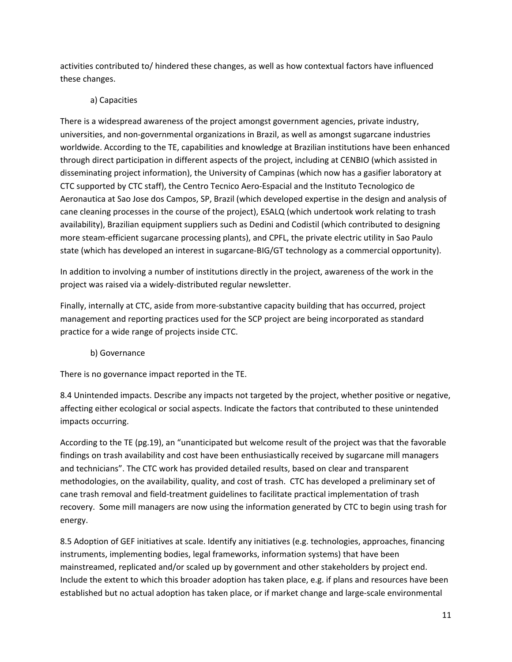activities contributed to/ hindered these changes, as well as how contextual factors have influenced these changes.

### a) Capacities

There is a widespread awareness of the project amongst government agencies, private industry, universities, and non-governmental organizations in Brazil, as well as amongst sugarcane industries worldwide. According to the TE, capabilities and knowledge at Brazilian institutions have been enhanced through direct participation in different aspects of the project, including at CENBIO (which assisted in disseminating project information), the University of Campinas (which now has a gasifier laboratory at CTC supported by CTC staff), the Centro Tecnico Aero-Espacial and the Instituto Tecnologico de Aeronautica at Sao Jose dos Campos, SP, Brazil (which developed expertise in the design and analysis of cane cleaning processes in the course of the project), ESALQ (which undertook work relating to trash availability), Brazilian equipment suppliers such as Dedini and Codistil (which contributed to designing more steam-efficient sugarcane processing plants), and CPFL, the private electric utility in Sao Paulo state (which has developed an interest in sugarcane-BIG/GT technology as a commercial opportunity).

In addition to involving a number of institutions directly in the project, awareness of the work in the project was raised via a widely-distributed regular newsletter.

Finally, internally at CTC, aside from more-substantive capacity building that has occurred, project management and reporting practices used for the SCP project are being incorporated as standard practice for a wide range of projects inside CTC.

#### b) Governance

There is no governance impact reported in the TE.

8.4 Unintended impacts. Describe any impacts not targeted by the project, whether positive or negative, affecting either ecological or social aspects. Indicate the factors that contributed to these unintended impacts occurring.

According to the TE (pg.19), an "unanticipated but welcome result of the project was that the favorable findings on trash availability and cost have been enthusiastically received by sugarcane mill managers and technicians". The CTC work has provided detailed results, based on clear and transparent methodologies, on the availability, quality, and cost of trash. CTC has developed a preliminary set of cane trash removal and field-treatment guidelines to facilitate practical implementation of trash recovery. Some mill managers are now using the information generated by CTC to begin using trash for energy.

8.5 Adoption of GEF initiatives at scale. Identify any initiatives (e.g. technologies, approaches, financing instruments, implementing bodies, legal frameworks, information systems) that have been mainstreamed, replicated and/or scaled up by government and other stakeholders by project end. Include the extent to which this broader adoption has taken place, e.g. if plans and resources have been established but no actual adoption has taken place, or if market change and large-scale environmental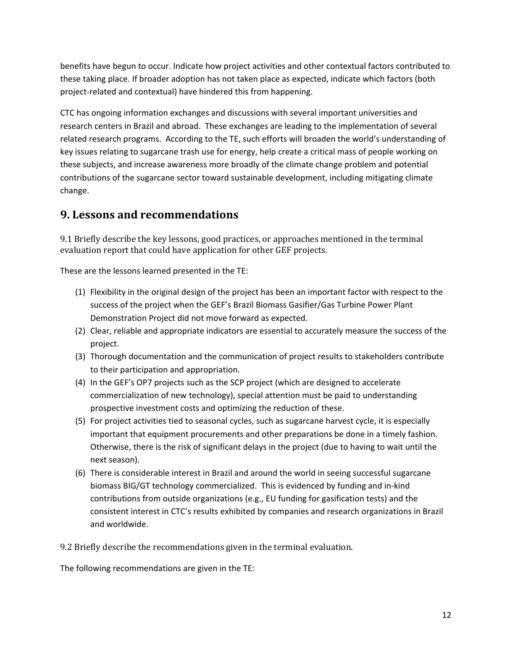benefits have begun to occur. Indicate how project activities and other contextual factors contributed to these taking place. If broader adoption has not taken place as expected, indicate which factors (both project-related and contextual) have hindered this from happening.

CTC has ongoing information exchanges and discussions with several important universities and research centers in Brazil and abroad. These exchanges are leading to the implementation of several related research programs. According to the TE, such efforts will broaden the world's understanding of key issues relating to sugarcane trash use for energy, help create a critical mass of people working on these subjects, and increase awareness more broadly of the climate change problem and potential contributions of the sugarcane sector toward sustainable development, including mitigating climate change.

# **9. Lessons and recommendations**

9.1 Briefly describe the key lessons, good practices, or approaches mentioned in the terminal evaluation report that could have application for other GEF projects.

These are the lessons learned presented in the TE:

- (1) Flexibility in the original design of the project has been an important factor with respect to the success of the project when the GEF's Brazil Biomass Gasifier/Gas Turbine Power Plant Demonstration Project did not move forward as expected.
- (2) Clear, reliable and appropriate indicators are essential to accurately measure the success of the project.
- (3) Thorough documentation and the communication of project results to stakeholders contribute to their participation and appropriation.
- (4) In the GEF's OP7 projects such as the SCP project (which are designed to accelerate commercialization of new technology), special attention must be paid to understanding prospective investment costs and optimizing the reduction of these.
- (5) For project activities tied to seasonal cycles, such as sugarcane harvest cycle, it is especially important that equipment procurements and other preparations be done in a timely fashion. Otherwise, there is the risk of significant delays in the project (due to having to wait until the next season).
- (6) There is considerable interest in Brazil and around the world in seeing successful sugarcane biomass BIG/GT technology commercialized. This is evidenced by funding and in-kind contributions from outside organizations (e.g., EU funding for gasification tests) and the consistent interest in CTC's results exhibited by companies and research organizations in Brazil and worldwide.

9.2 Briefly describe the recommendations given in the terminal evaluation.

The following recommendations are given in the TE: